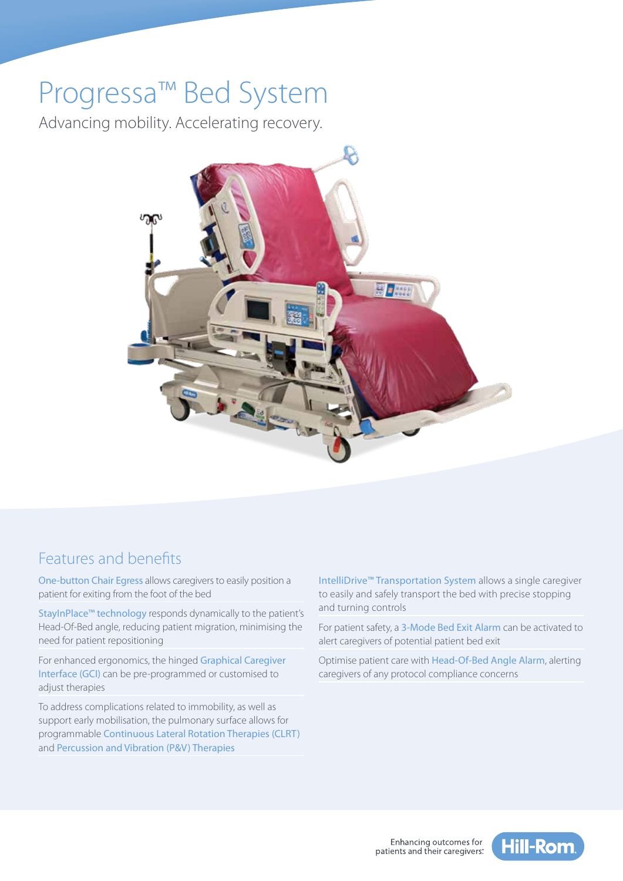# Progressa™ Bed System

Advancing mobility. Accelerating recovery.



### Features and benefits

One-button Chair Egress allows caregivers to easily position a patient for exiting from the foot of the bed

StayInPlace™ technology responds dynamically to the patient's Head-Of-Bed angle, reducing patient migration, minimising the need for patient repositioning

For enhanced ergonomics, the hinged Graphical Caregiver Interface (GCI) can be pre-programmed or customised to adjust therapies

To address complications related to immobility, as well as support early mobilisation, the pulmonary surface allows for programmable Continuous Lateral Rotation Therapies (CLRT) and Percussion and Vibration (P&V) Therapies

IntelliDrive™ Transportation System allows a single caregiver to easily and safely transport the bed with precise stopping and turning controls

For patient safety, a 3-Mode Bed Exit Alarm can be activated to alert caregivers of potential patient bed exit

Optimise patient care with Head-Of-Bed Angle Alarm, alerting caregivers of any protocol compliance concerns

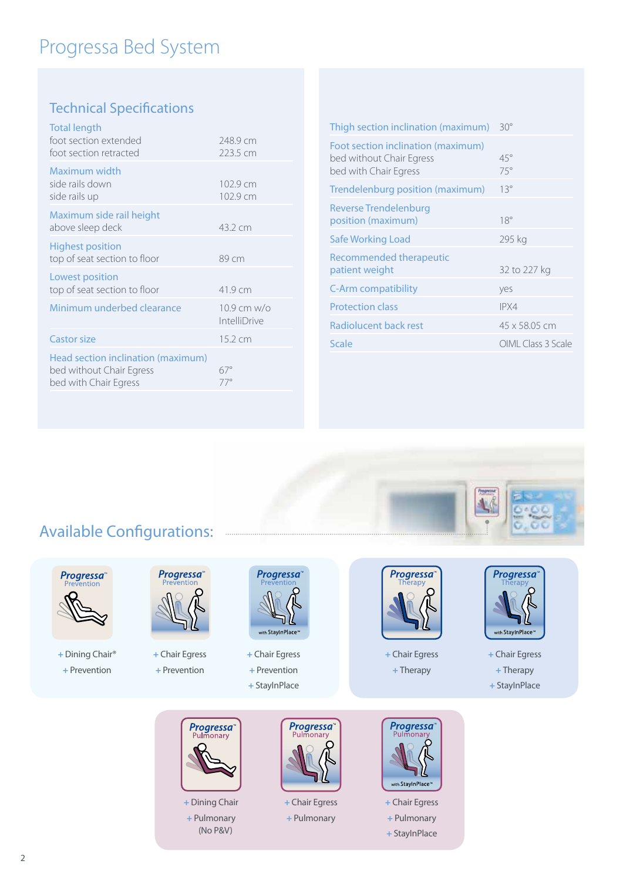# Progressa Bed System

### Technical Specifications

| <b>Total length</b><br>foot section extended<br>foot section retracted                  | 2489cm<br>223.5 cm            |
|-----------------------------------------------------------------------------------------|-------------------------------|
| Maximum width<br>side rails down<br>side rails up                                       | 102.9 cm<br>102.9 cm          |
| Maximum side rail height<br>above sleep deck                                            | 432 cm                        |
| <b>Highest position</b><br>top of seat section to floor                                 | 89 cm                         |
| Lowest position<br>top of seat section to floor                                         | 41.9 cm                       |
| Minimum underbed clearance                                                              | $10.9$ cm w/o<br>IntelliDrive |
| <b>Castor size</b>                                                                      | 15.2 cm                       |
| Head section inclination (maximum)<br>bed without Chair Egress<br>bed with Chair Egress | $67^\circ$<br>$77^{\circ}$    |
|                                                                                         |                               |

| Thigh section inclination (maximum)                                                     | $30^\circ$         |
|-----------------------------------------------------------------------------------------|--------------------|
| Foot section inclination (maximum)<br>bed without Chair Egress<br>bed with Chair Egress | $45^\circ$<br>75°  |
| Trendelenburg position (maximum)                                                        | $13^{\circ}$       |
| Reverse Trendelenburg<br>position (maximum)                                             | $18^\circ$         |
| Safe Working Load                                                                       | 295 kg             |
| Recommended therapeutic<br>patient weight                                               | 32 to 227 kg       |
| <b>C-Arm compatibility</b>                                                              | yes                |
| <b>Protection class</b>                                                                 | IPX4               |
| Radiolucent back rest                                                                   | 45 x 58.05 cm      |
| Scale                                                                                   | OIML Class 3 Scale |

## Available Configurations:



**+** Dining Chair® **+** Prevention



**+** Chair Egress **+** Prevention



**+** Chair Egress **+** Prevention

**+** StayInPlace



**+** Dining Chair **+** Pulmonary (No P&V)



**+** Chair Egress **+** Pulmonary



**+** Chair Egress **+** Therapy

**+** Chair Egress **+** Pulmonary **+** StayInPlace

with StayInPlace<sup>1</sup>

**Progressa**<sup></sup>



 $0 - 00$ 

**+** Chair Egress **+** Therapy

**+** StayInPlace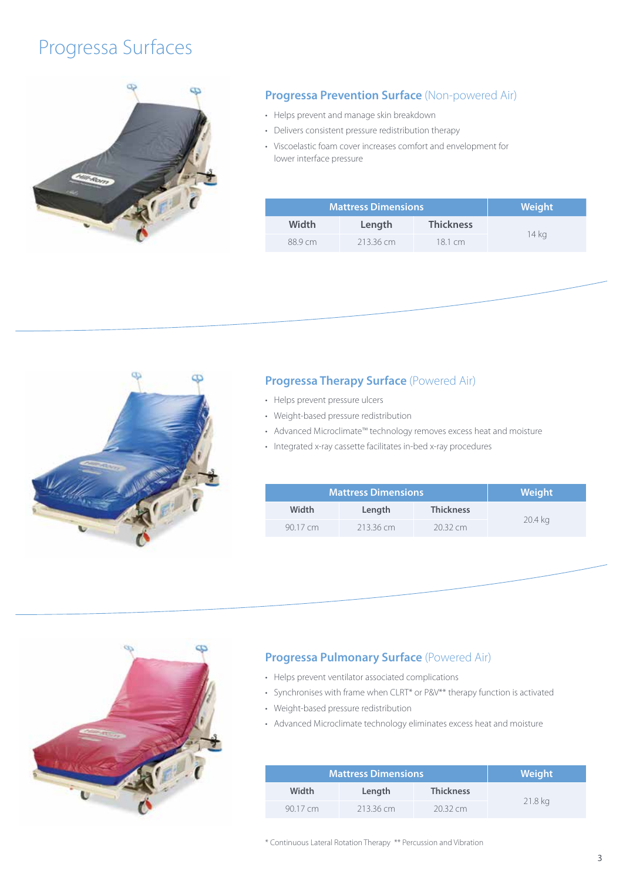# Progressa Surfaces



#### **Progressa Prevention Surface** (Non-powered Air)

- Helps prevent and manage skin breakdown
- Delivers consistent pressure redistribution therapy
- Viscoelastic foam cover increases comfort and envelopment for lower interface pressure

| Mattress Dimensions |           |                  | Weight |
|---------------------|-----------|------------------|--------|
| Width               | Length    | <b>Thickness</b> |        |
| 889cm               | 213.36 cm | 18.1 cm          | 14 kg  |



#### **Progressa Therapy Surface** (Powered Air)

- Helps prevent pressure ulcers
- Weight-based pressure redistribution
- Advanced Microclimate™ technology removes excess heat and moisture
- Integrated x-ray cassette facilitates in-bed x-ray procedures

| <b>Mattress Dimensions</b> |           |                     | Weight  |
|----------------------------|-----------|---------------------|---------|
| Width                      | Length    | <b>Thickness</b>    |         |
| 90.17 cm                   | 213.36 cm | $2032 \, \text{cm}$ | 20.4 kg |



#### **Progressa Pulmonary Surface** (Powered Air)

- Helps prevent ventilator associated complications
- Synchronises with frame when CLRT\* or P&V\*\* therapy function is activated
- Weight-based pressure redistribution
- Advanced Microclimate technology eliminates excess heat and moisture

| <b>Mattress Dimensions</b> |           |                  | Weight  |
|----------------------------|-----------|------------------|---------|
| Width                      | Length    | <b>Thickness</b> |         |
| 90.17 cm                   | 213.36 cm | 20.32 cm         | 21.8 kg |

\* Continuous Lateral Rotation Therapy \*\* Percussion and Vibration